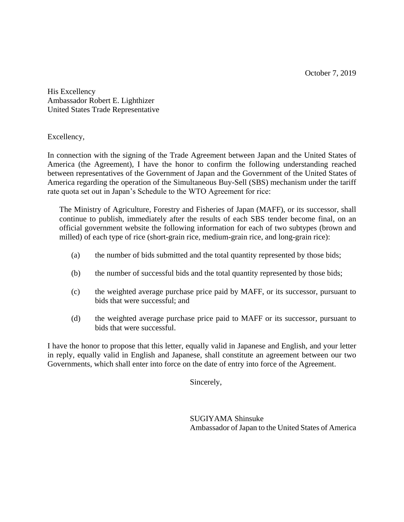October 7, 2019

His Excellency Ambassador Robert E. Lighthizer United States Trade Representative

Excellency,

In connection with the signing of the Trade Agreement between Japan and the United States of America (the Agreement), I have the honor to confirm the following understanding reached between representatives of the Government of Japan and the Government of the United States of America regarding the operation of the Simultaneous Buy-Sell (SBS) mechanism under the tariff rate quota set out in Japan's Schedule to the WTO Agreement for rice:

The Ministry of Agriculture, Forestry and Fisheries of Japan (MAFF), or its successor, shall continue to publish, immediately after the results of each SBS tender become final, on an official government website the following information for each of two subtypes (brown and milled) of each type of rice (short-grain rice, medium-grain rice, and long-grain rice):

- (a) the number of bids submitted and the total quantity represented by those bids;
- (b) the number of successful bids and the total quantity represented by those bids;
- (c) the weighted average purchase price paid by MAFF, or its successor, pursuant to bids that were successful; and
- (d) the weighted average purchase price paid to MAFF or its successor, pursuant to bids that were successful.

I have the honor to propose that this letter, equally valid in Japanese and English, and your letter in reply, equally valid in English and Japanese, shall constitute an agreement between our two Governments, which shall enter into force on the date of entry into force of the Agreement.

Sincerely,

SUGIYAMA Shinsuke Ambassador of Japan to the United States of America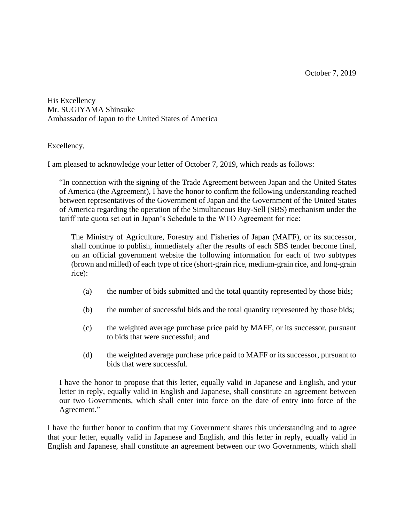His Excellency Mr. SUGIYAMA Shinsuke Ambassador of Japan to the United States of America

Excellency,

I am pleased to acknowledge your letter of October 7, 2019, which reads as follows:

"In connection with the signing of the Trade Agreement between Japan and the United States of America (the Agreement), I have the honor to confirm the following understanding reached between representatives of the Government of Japan and the Government of the United States of America regarding the operation of the Simultaneous Buy-Sell (SBS) mechanism under the tariff rate quota set out in Japan's Schedule to the WTO Agreement for rice:

The Ministry of Agriculture, Forestry and Fisheries of Japan (MAFF), or its successor, shall continue to publish, immediately after the results of each SBS tender become final, on an official government website the following information for each of two subtypes (brown and milled) of each type of rice (short-grain rice, medium-grain rice, and long-grain rice):

- (a) the number of bids submitted and the total quantity represented by those bids;
- (b) the number of successful bids and the total quantity represented by those bids;
- (c) the weighted average purchase price paid by MAFF, or its successor, pursuant to bids that were successful; and
- (d) the weighted average purchase price paid to MAFF or its successor, pursuant to bids that were successful.

I have the honor to propose that this letter, equally valid in Japanese and English, and your letter in reply, equally valid in English and Japanese, shall constitute an agreement between our two Governments, which shall enter into force on the date of entry into force of the Agreement."

I have the further honor to confirm that my Government shares this understanding and to agree that your letter, equally valid in Japanese and English, and this letter in reply, equally valid in English and Japanese, shall constitute an agreement between our two Governments, which shall